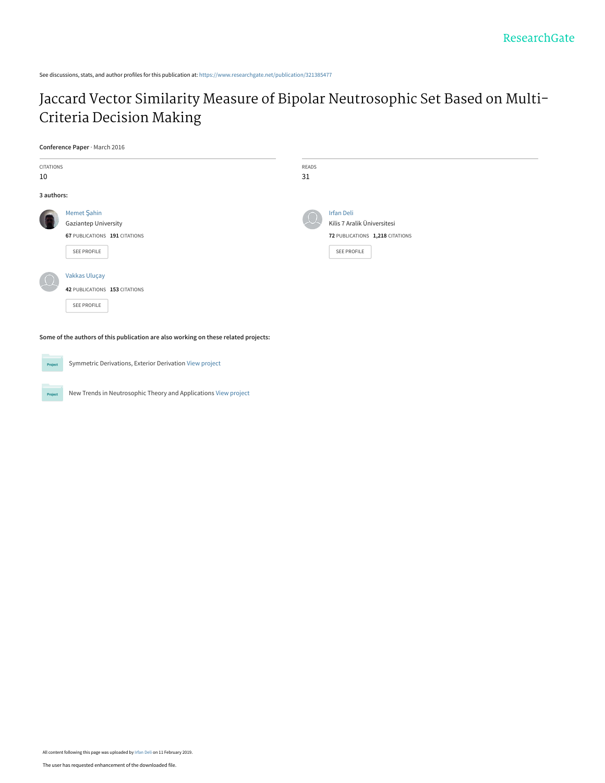See discussions, stats, and author profiles for this publication at: [https://www.researchgate.net/publication/321385477](https://www.researchgate.net/publication/321385477_Jaccard_Vector_Similarity_Measure_of_Bipolar_Neutrosophic_Set_Based_on_Multi-Criteria_Decision_Making?enrichId=rgreq-8d1596fa845f84a48574243160cb2024-XXX&enrichSource=Y292ZXJQYWdlOzMyMTM4NTQ3NztBUzo3MjUwNjg4Nzk1MTk3NDRAMTU0OTg4MTMwMDExNw%3D%3D&el=1_x_2&_esc=publicationCoverPdf)

# [Jaccard Vector Similarity Measure of Bipolar Neutrosophic Set Based on Multi-](https://www.researchgate.net/publication/321385477_Jaccard_Vector_Similarity_Measure_of_Bipolar_Neutrosophic_Set_Based_on_Multi-Criteria_Decision_Making?enrichId=rgreq-8d1596fa845f84a48574243160cb2024-XXX&enrichSource=Y292ZXJQYWdlOzMyMTM4NTQ3NztBUzo3MjUwNjg4Nzk1MTk3NDRAMTU0OTg4MTMwMDExNw%3D%3D&el=1_x_3&_esc=publicationCoverPdf)Criteria Decision Making

**Conference Paper** · March 2016

| CITATIONS                                                                           |                               | READS |                                 |  |  |  |
|-------------------------------------------------------------------------------------|-------------------------------|-------|---------------------------------|--|--|--|
| 10                                                                                  |                               | 31    |                                 |  |  |  |
| 3 authors:                                                                          |                               |       |                                 |  |  |  |
|                                                                                     | Memet Şahin                   |       | <b>Irfan Deli</b>               |  |  |  |
|                                                                                     | <b>Gaziantep University</b>   |       | Kilis 7 Aralik Üniversitesi     |  |  |  |
|                                                                                     | 67 PUBLICATIONS 191 CITATIONS |       | 72 PUBLICATIONS 1,218 CITATIONS |  |  |  |
|                                                                                     | SEE PROFILE                   |       | SEE PROFILE                     |  |  |  |
|                                                                                     | Vakkas Uluçay                 |       |                                 |  |  |  |
|                                                                                     | 42 PUBLICATIONS 153 CITATIONS |       |                                 |  |  |  |
|                                                                                     | SEE PROFILE                   |       |                                 |  |  |  |
| Some of the authors of this publication are also working on these related projects: |                               |       |                                 |  |  |  |

**Project** Symmetric Derivations, Exterior Derivation [View project](https://www.researchgate.net/project/Symmetric-Derivations-Exterior-Derivation?enrichId=rgreq-8d1596fa845f84a48574243160cb2024-XXX&enrichSource=Y292ZXJQYWdlOzMyMTM4NTQ3NztBUzo3MjUwNjg4Nzk1MTk3NDRAMTU0OTg4MTMwMDExNw%3D%3D&el=1_x_9&_esc=publicationCoverPdf) New Trends in Neutrosophic Theory and Applications [View project](https://www.researchgate.net/project/New-Trends-in-Neutrosophic-Theory-and-Applications?enrichId=rgreq-8d1596fa845f84a48574243160cb2024-XXX&enrichSource=Y292ZXJQYWdlOzMyMTM4NTQ3NztBUzo3MjUwNjg4Nzk1MTk3NDRAMTU0OTg4MTMwMDExNw%3D%3D&el=1_x_9&_esc=publicationCoverPdf) Project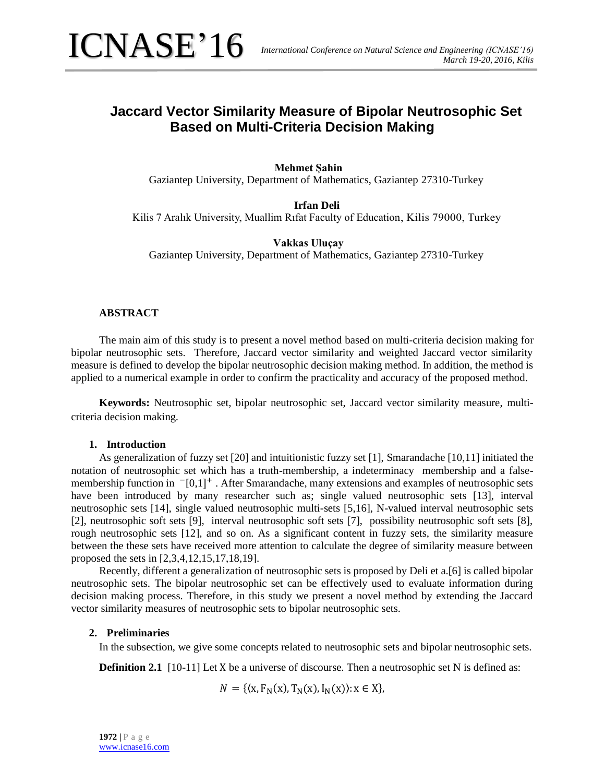# **Jaccard Vector Similarity Measure of Bipolar Neutrosophic Set Based on Multi-Criteria Decision Making**

# **Mehmet Şahin**

Gaziantep University, Department of Mathematics, Gaziantep 27310-Turkey

# **Irfan Deli**

Kilis 7 Aralık University, Muallim Rıfat Faculty of Education, Kilis 79000, Turkey

# **Vakkas Uluçay**

Gaziantep University, Department of Mathematics, Gaziantep 27310-Turkey

# **ABSTRACT**

The main aim of this study is to present a novel method based on multi-criteria decision making for bipolar neutrosophic sets. Therefore, Jaccard vector similarity and weighted Jaccard vector similarity measure is defined to develop the bipolar neutrosophic decision making method. In addition, the method is applied to a numerical example in order to confirm the practicality and accuracy of the proposed method.

**Keywords:** Neutrosophic set, bipolar neutrosophic set, Jaccard vector similarity measure, multicriteria decision making.

### **1. Introduction**

As generalization of fuzzy set [20] and intuitionistic fuzzy set [1], Smarandache [10,11] initiated the notation of neutrosophic set which has a truth-membership, a indeterminacy membership and a falsemembership function in <sup>-</sup>[0,1]<sup>+</sup>. After Smarandache, many extensions and examples of neutrosophic sets have been introduced by many researcher such as; single valued neutrosophic sets [13], interval neutrosophic sets [14], single valued neutrosophic multi-sets [5,16], N-valued interval neutrosophic sets [2], neutrosophic soft sets [9], interval neutrosophic soft sets [7], possibility neutrosophic soft sets [8], rough neutrosophic sets [12], and so on. As a significant content in fuzzy sets, the similarity measure between the these sets have received more attention to calculate the degree of similarity measure between proposed the sets in [2,3,4,12,15,17,18,19].

Recently, different a generalization of neutrosophic sets is proposed by Deli et a.[6] is called bipolar neutrosophic sets. The bipolar neutrosophic set can be effectively used to evaluate information during decision making process. Therefore, in this study we present a novel method by extending the Jaccard vector similarity measures of neutrosophic sets to bipolar neutrosophic sets.

# **2. Preliminaries**

In the subsection, we give some concepts related to neutrosophic sets and bipolar neutrosophic sets.

**Definition 2.1** [10-11] Let X be a universe of discourse. Then a neutrosophic set N is defined as:

$$
N = \{ (x, F_N(x), T_N(x), I_N(x)) : x \in X \},
$$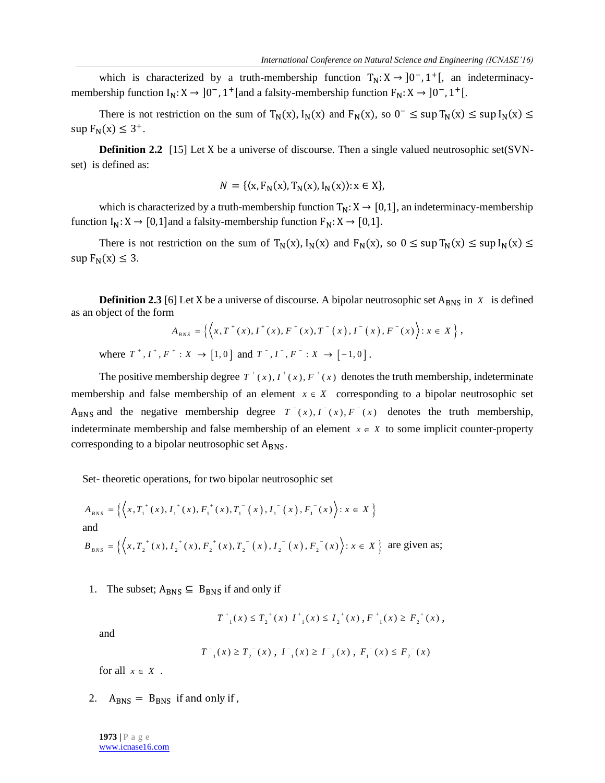which is characterized by a truth-membership function  $T_N: X \to [0^-, 1^+]$ , an indeterminacymembership function  $I_N: X \to 0^-$ , 1<sup>+</sup> [and a falsity-membership function  $F_N: X \to 0^-$ , 1<sup>+</sup> [.

There is not restriction on the sum of  $T_N(x)$ ,  $I_N(x)$  and  $F_N(x)$ , so  $0^- \leq \sup T_N(x) \leq \sup I_N(x) \leq$  $\sup F_N(x) \leq 3^+$ .

**Definition 2.2** [15] Let X be a universe of discourse. Then a single valued neutrosophic set(SVNset) is defined as:

$$
N = \{ (x, F_N(x), T_N(x), I_N(x)) : x \in X \},
$$

which is characterized by a truth-membership function  $T_N: X \to [0,1]$ , an indeterminacy-membership function  $I_N: X \to [0,1]$ and a falsity-membership function  $F_N: X \to [0,1]$ .

There is not restriction on the sum of  $T_N(x)$ ,  $I_N(x)$  and  $F_N(x)$ , so  $0 \leq \sup T_N(x) \leq \sup I_N(x) \leq$  $\sup F_N(x) \leq 3$ .

**Definition 2.3** [6] Let X be a universe of discourse. A bipolar neutrosophic set  $A_{BNS}$  in *X* is defined biject of the form  $A_{BNS} = \left\{ \left\langle x, T^+(x), I^+(x), F^+(x), T^-(x), I^-(x), F^-(x) \right\rangle : x \in X \right\},$ as an object of the form  $f'(r) I^+(r) F^+(r) T^-(r) I^-(r) F^-(r)$ 

$$
A_{BNS} = \left\{ \left\langle x, T^+(x), I^+(x), F^+(x), T^-(x), I^-(x), F^-(x) \right\rangle : x \in X \right\},\
$$
  

$$
T^+, I^+, F^+ : X \to [1, 0] \text{ and } T^-, I^-, F^- : X \to [-1, 0].
$$

The positive membership degree  $T^*(x)$ ,  $T^*(x)$ ,  $F^*(x)$  denotes the truth membership, indeterminate membership and false membership of an element  $x \in X$  corresponding to a bipolar neutrosophic set A<sub>BNS</sub> and the negative membership degree  $T^-(x)$ ,  $T^-(x)$ ,  $F^-(x)$  denotes the truth membership, indeterminate membership and false membership of an element  $x \in X$  to some implicit counter-property corresponding to a bipolar neutrosophic set  $A<sub>BNS</sub>$ .

Set- theoretic operations, for two bipolar neutrosophic set

$$
A_{BNS} = \left\{ \left\langle x, T_1^+(x), I_1^+(x), F_1^+(x), T_1^-(x), I_1^-(x), F_1^-(x) \right\rangle : x \in X \right\}
$$
  
and  

$$
B_{BNS} = \left\{ \left\langle x, T_2^+(x), I_2^+(x), F_2^+(x), T_2^-(x), I_2^-(x), F_2^-(x) \right\rangle : x \in X \right\}
$$
 are given as;

1. The subset;  $A_{BNS} \subseteq B_{BNS}$  if and only if

$$
T_{-1}^+(x) \le T_2^+(x) I_{-1}^+(x) \le I_2^+(x), F_{-1}^+(x) \ge F_2^+(x),
$$

and

where

$$
T^{-1}(x) \geq T^{-1}(x)
$$
,  $T^{-1}(x) \geq T^{-1}(x)$ ,  $F^{-1}(x) \leq F^{-1}(x)$ 

for all  $x \in X$ .

2.  $A<sub>BNS</sub> = B<sub>BNS</sub>$  if and only if,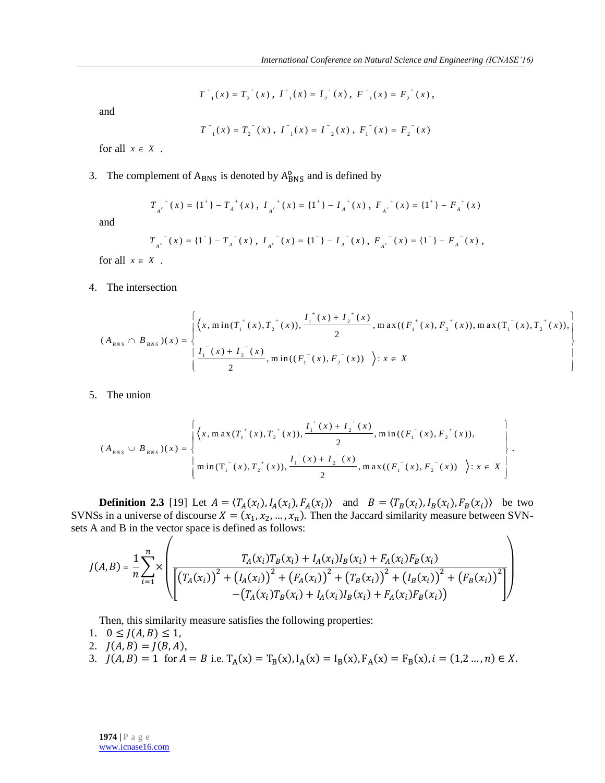$$
T_{-1}^+(x)=T_2^{+}(x)\;,\; I_{-1}^+(x)=I_2^{+}(x)\;,\; F_{-1}^{+}(x)=F_2^{+}(x)\;,\;
$$

and

$$
T^{-1}(x) = T_2^{-1}(x)
$$
,  $I^{-1}(x) = I^{-2}(x)$ ,  $F_1^{-1}(x) = F_2^{-1}(x)$ 

for all  $x \in X$ .

# 3. The complement of  $A_{BNS}$  is denoted by  $A_{BNS}^{\circ}$  and is defined by

$$
T_{A^c}^{+}(x) = \{1^+\} - T_A^{+}(x), \ I_{A^c}^{+}(x) = \{1^+\} - I_A^{+}(x), \ F_{A^c}^{+}(x) = \{1^+\} - F_A^{+}(x)
$$

and

$$
T_{A^c}^{\ \ \ \pi}(x) = \{1^-\} - T_A^{\ \ \pi}(x) \ , \ I_{A^c}^{\ \ \ \pi}(x) = \{1^-\} - I_A^{\ \ \pi}(x) \ , \ F_{A^c}^{\ \ \ \pi}(x) = \{1^-\} - F_A^{\ \ \pi}(x) \ ,
$$

for all  $x \in X$ .

4. The intersection

The intersection  
\n
$$
(A_{BNS} \cap B_{BNS})(x) = \begin{cases}\n\left\{\left(x, \min(T_1^+(x), T_2^+(x)), \frac{I_1^+(x) + I_2^+(x)}{2}, \max((F_1^+(x), F_2^+(x)), \max(T_1^-(x), T_2^+(x)), \frac{I_1^-(x) + I_2^-(x)}{2}, \min((F_1^-(x), F_2^-(x)))\right)\right\} \\
\frac{I_1^-(x) + I_2^-(x)}{2}, \min((F_1^-(x), F_2^-(x))\right) : x \in X\n\end{cases}
$$

5. The union

The union  
\n
$$
(A_{BNS} \cup B_{BNS})(x) = \begin{cases}\n\left\{\left(x, \max(T_1^+(x), T_2^+(x)), \frac{I_1^+(x) + I_2^+(x)}{2}, \min((F_1^+(x), F_2^+(x)),\\0, \max((F_1^-(x), F_2^-(x)))\right\}\right. \\
\left.\left.\min(T_1^-(x), T_2^+(x)), \frac{I_1^-(x) + I_2^-(x)}{2}, \max((F_1^-(x), F_2^-(x)))\right.\right\}.\n\end{cases}
$$

**Definition 2.3** [19] Let  $A = \langle T_A(x_i), I_A(x_i), F_A(x_i) \rangle$  and  $B = \langle T_B(x_i), I_B(x_i), F_B(x_i) \rangle$  be two SVNSs in a universe of discourse  $X = (x_1, x_2, ..., x_n)$ . Then the Jaccard similarity measure between SVNsets A and B in the vector space is defined as follows:

$$
J(A,B) = \frac{1}{n} \sum_{i=1}^{n} \times \left( \frac{T_A(x_i)T_B(x_i) + I_A(x_i)I_B(x_i) + F_A(x_i)F_B(x_i)}{\left[\left(T_A(x_i)\right)^2 + \left(I_A(x_i)\right)^2 + \left(F_A(x_i)\right)^2 + \left(T_B(x_i)\right)^2 + \left(I_B(x_i)\right)^2 + \left(F_B(x_i)\right)^2\right]} - \left(T_A(x_i)T_B(x_i) + I_A(x_i)I_B(x_i) + F_A(x_i)F_B(x_i)\right)\right)
$$

Then, this similarity measure satisfies the following properties:

- 1.  $0 \leq J(A, B) \leq 1$ ,
- 2.  $J(A, B) = J(B, A),$
- 3.  $J(A, B) = 1$  for  $A = B$  i.e.  $T_A(x) = T_B(x)$ ,  $I_A(x) = I_B(x)$ ,  $F_A(x) = F_B(x)$ ,  $i = (1, 2, ..., n) \in X$ .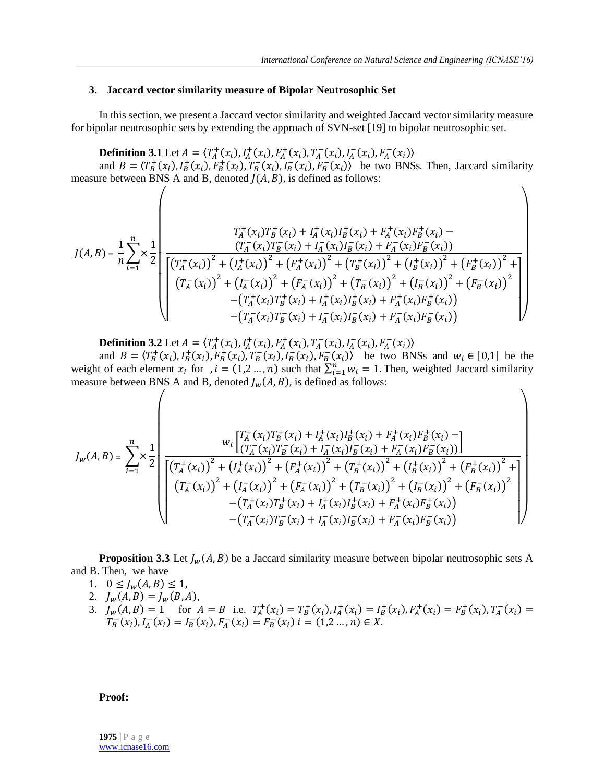$\setminus$ 

### **3. Jaccard vector similarity measure of Bipolar Neutrosophic Set**

In this section, we present a Jaccard vector similarity and weighted Jaccard vector similarity measure for bipolar neutrosophic sets by extending the approach of SVN-set [19] to bipolar neutrosophic set.

# **Definition 3.1** Let  $A = \langle T_A^+(x_i), I_A^+(x_i), F_A^+(x_i), T_A^-(x_i), I_A^-(x_i), F_A^-(x_i) \rangle$

and  $B = \langle T_B^+(x_i), I_B^+(x_i), F_B^-(x_i), T_B^-(x_i), I_B^-(x_i), F_B^-(x_i) \rangle$  be two BNSs. Then, Jaccard similarity measure between BNS A and B, denoted  $J(A, B)$ , is defined as follows:

$$
J(A,B) = \frac{1}{n} \sum_{i=1}^{n} \times \frac{1}{2} \left[ \frac{T_A^+(x_i)T_B^+(x_i) + I_A^+(x_i)I_B^+(x_i) + F_A^+(x_i)F_B^+(x_i) - (T_A^-(x_i))^2 + (I_A^+(x_i))^2 + (F_A^+(x_i))^2 + (T_B^+(x_i))^2 + (I_B^+(x_i))^2 + (I_B^+(x_i))^2 + (F_B^+(x_i))^2 + (F_B^+(x_i))^2 + (F_B^+(x_i))^2 + (F_B^-(x_i))^2 + (I_A^-(x_i))^2 + (I_A^-(x_i))^2 + (I_A^-(x_i))^2 + (I_B^-(x_i))^2 + (I_B^-(x_i))^2 + (F_B^-(x_i))^2 - (T_A^+(x_i)T_B^+(x_i) + I_A^+(x_i)I_B^+(x_i) + F_A^+(x_i)F_B^+(x_i)) - (T_A^-(x_i)T_B^-(x_i) + I_A^-(x_i)I_B^-(x_i) + F_A^-(x_i)F_B^-(x_i)) \right]
$$

**Definition 3.2** Let  $A = \langle T_A^+(x_i), I_A^+(x_i), F_A^+(x_i), T_A^-(x_i), I_A^-(x_i), F_A^-(x_i) \rangle$ 

and  $B = \langle T_B^+(x_i), I_B^+(x_i), F_B^+(x_i), T_B^-(x_i), I_B^-(x_i), F_B^-(x_i) \rangle$  be two BNSs and  $w_i \in [0,1]$  be the weight of each element  $x_i$  for ,  $i = (1, 2, ..., n)$  such that  $\sum_{i=1}^{n} w_i = 1$ . Then, weighted Jaccard similarity measure between BNS A and B, denoted  $J_w(A, B)$ , is defined as follows:

$$
J_{w}(A,B) = \sum_{i=1}^{n} \times \frac{1}{2} \left( \frac{W_{i}\left[\begin{matrix} T_{A}^{+}(x_{i})T_{B}^{+}(x_{i}) + I_{A}^{+}(x_{i})I_{B}^{+}(x_{i}) + F_{A}^{+}(x_{i})F_{B}^{+}(x_{i}) - \\ (T_{A}^{-}(x_{i})T_{B}^{-}(x_{i}) + I_{A}^{-}(x_{i})I_{B}^{-}(x_{i}) + F_{A}^{-}(x_{i})F_{B}^{-}(x_{i})) \end{matrix}\right]}{\left[\begin{matrix} (T_{A}^{+}(x_{i}))^{2} + (I_{A}^{+}(x_{i}))^{2} + (F_{A}^{+}(x_{i}))^{2} + (T_{B}^{+}(x_{i}))^{2} + (T_{B}^{+}(x_{i}))^{2} + (F_{B}^{+}(x_{i}))^{2} + (F_{B}^{+}(x_{i}))^{2} \\ (T_{A}^{-}(x_{i}))^{2} + (I_{A}^{-}(x_{i}))^{2} + (F_{A}^{-}(x_{i}))^{2} + (T_{B}^{-}(x_{i}))^{2} + (T_{B}^{-}(x_{i}))^{2} + (F_{B}^{-}(x_{i}))^{2} \\ -(T_{A}^{+}(x_{i})T_{B}^{+}(x_{i}) + I_{A}^{+}(x_{i})I_{B}^{+}(x_{i}) + F_{A}^{+}(x_{i})F_{B}^{+}(x_{i})) \\ -(T_{A}^{-}(x_{i})T_{B}^{-}(x_{i}) + I_{A}^{-}(x_{i})I_{B}^{-}(x_{i}) + F_{A}^{-}(x_{i})F_{B}^{-}(x_{i}))\end{matrix}\right)\right)
$$

**Proposition 3.3** Let  $J_w(A, B)$  be a Jaccard similarity measure between bipolar neutrosophic sets A and B. Then, we have

- 1.  $0 \leq J_w(A, B) \leq 1$ ,
- 2.  $J_w(A, B) = J_w(B, A),$
- 3.  $J_w(A, B) = 1$  for  $A = B$  i.e.  $T_A^+(x_i) = T_B^+(x_i)$ ,  $I_A^+(x_i) = I_B^+(x_i)$ ,  $F_A^+(x_i) = F_B^+(x_i)$ ,  $T_A^-(x_i) =$  $T_B^-(x_i), I_A^-(x_i) = I_B^-(x_i), F_A^-(x_i) = F_B^-(x_i)$   $i = (1,2...,n) \in X$ .

**Proof:**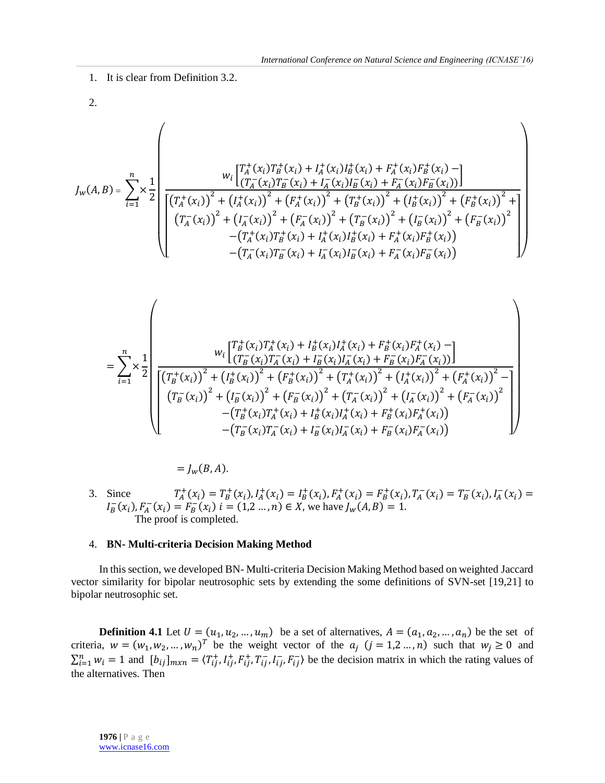1. It is clear from Definition 3.2.

2.

$$
J_{w}(A,B) = \sum_{i=1}^{n} \times \frac{1}{2} \sqrt{\frac{\left(T_{A}^{+}(x_{i})T_{B}^{+}(x_{i})+I_{A}^{+}(x_{i})I_{B}^{+}(x_{i})+F_{A}^{+}(x_{i})F_{B}^{+}(x_{i})-1\right)}{\left[\left(T_{A}^{+}(x_{i})\right)^{2}+\left(I_{A}^{+}(x_{i})\right)^{2}+\left(F_{A}^{+}(x_{i})\right)^{2}+\left(T_{B}^{+}(x_{i})\right)^{2}+\left(I_{B}^{+}(x_{i})\right)^{2}+\left(F_{B}^{+}(x_{i})\right)^{2}+\left(F_{B}^{+}(x_{i})\right)^{2}+\left(F_{B}^{+}(x_{i})\right)^{2}+\left(T_{B}^{+}(x_{i})\right)^{2}+\left(T_{B}^{+}(x_{i})\right)^{2}+\left(T_{B}^{+}(x_{i})\right)^{2}+\left(T_{B}^{+}(x_{i})\right)^{2}+\left(T_{B}^{+}(x_{i})\right)^{2}+\left(T_{B}^{+}(x_{i})\right)^{2}+\left(T_{B}^{+}(x_{i})\right)^{2}+\left(T_{B}^{+}(x_{i})\right)^{2}+\left(T_{B}^{+}(x_{i})\right)^{2}+\left(T_{B}^{+}(x_{i})\right)^{2}+\left(T_{B}^{+}(x_{i})\right)^{2}+\left(T_{B}^{+}(x_{i})\right)^{2}+\left(T_{B}^{+}(x_{i})\right)^{2}+\left(T_{B}^{+}(x_{i})\right)^{2}+\left(T_{B}^{+}(x_{i})\right)^{2}+\left(T_{B}^{+}(x_{i})\right)^{2}+\left(T_{B}^{+}(x_{i})\right)^{2}+\left(T_{B}^{+}(x_{i})\right)^{2}+\left(T_{B}^{+}(x_{i})\right)^{2}+\left(T_{B}^{+}(x_{i})\right)^{2}-\left(T_{B}^{+}(x_{i})\right)^{2}+\left(T_{B}^{+}(x_{i})\right)^{2}+\left(T_{B}^{+}(x_{i})\right)^{2}+\left(T_{B}^{+}(x_{i})\right)^{2}+\left(T_{B}^{+}(x_{i})\right)^{2}-\left(T_{B}^{+}(x_{i})\right)^{2}+\left(T_{B
$$

 $= I_w(B, A).$ 

3. Since  $T_A^+(x_i) = T_B^+(x_i)$ ,  $I_A^+(x_i) = I_B^+(x_i)$ ,  $F_A^+(x_i) = F_B^+(x_i)$ ,  $T_A^-(x_i) = T_B^-(x_i)$ ,  $I_A^-(x_i) =$  $I_B^-(x_i)$ ,  $F_A^-(x_i) = F_B^-(x_i)$   $i = (1,2,...,n) \in X$ , we have  $J_w(A, B) = 1$ . The proof is completed.

#### 4. **BN- Multi-criteria Decision Making Method**

In this section, we developed BN- Multi-criteria Decision Making Method based on weighted Jaccard vector similarity for bipolar neutrosophic sets by extending the some definitions of SVN-set [19,21] to bipolar neutrosophic set.

**Definition 4.1** Let  $U = (u_1, u_2, ..., u_m)$  be a set of alternatives,  $A = (a_1, a_2, ..., a_n)$  be the set of criteria,  $w = (w_1, w_2, ..., w_n)^T$  be the weight vector of the  $a_j$   $(j = 1, 2, ..., n)$  such that  $w_j \ge 0$  and  $\sum_{i=1}^n w_i = 1$  and  $[b_{ij}]_{m \times n} = \langle T_{ij}^+, I_{ij}^+, F_{ij}^-, I_{ij}^-, F_{ij}^- \rangle$  be the decision matrix in which the rating values of the alternatives. Then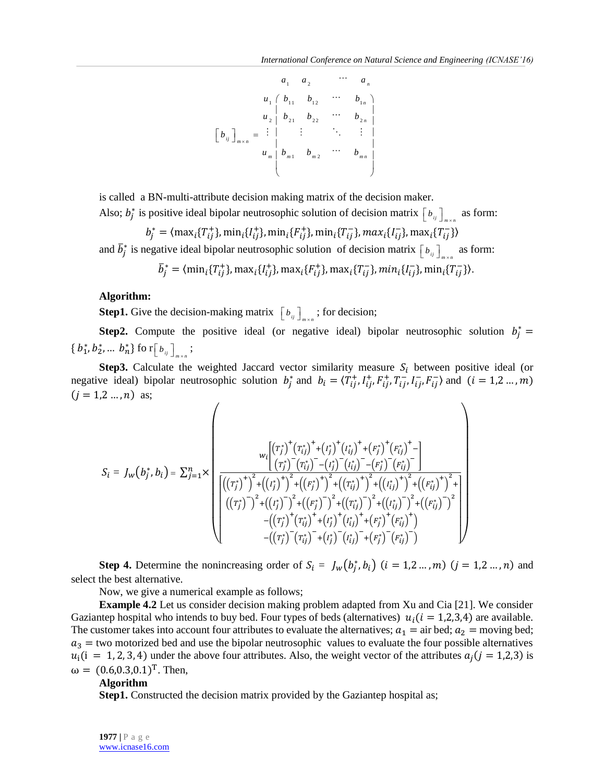1 2 <sup>1</sup> 1 1 1 2 <sup>1</sup> <sup>2</sup> 2 1 2 2 <sup>2</sup> 1 2 *n n n i j m n m m m m n a a a <sup>u</sup> b b <sup>b</sup> <sup>u</sup> b b <sup>b</sup> b u b b b* 

is called a BN-multi-attribute decision making matrix of the decision maker. Also;  $b_j^*$  is positive ideal bipolar neutrosophic solution of decision matrix  $[b_{ij}]_{m \times n}$  as form:

$$
b_j^* = \langle \max_i \{T_{ij}^+\}, \min_i \{I_{ij}^+\}, \min_i \{F_{ij}^+\}, \min_i \{T_{ij}^-\}, \max_i \{I_{ij}^-\}, \max_i \{T_{ij}^-\}\rangle
$$

and  $\overline{b}_j^*$  is negative ideal bipolar neutrosophic solution of decision matrix  $[b_{ij}]_{m \times n}$  as form:

$$
\overline{b}_j^* = \langle \min_i \{ T_{ij}^+ \}, \max_i \{ I_{ij}^+ \}, \max_i \{ F_{ij}^+ \}, \max_i \{ T_{ij}^- \}, \min_i \{ I_{ij}^- \}, \min_i \{ T_{ij}^- \} \rangle.
$$

#### **Algorithm:**

**Step1.** Give the decision-making matrix  $\left[ b_{ij} \right]_{m \times n}$ ; for decision;

**Step2.** Compute the positive ideal (or negative ideal) bipolar neutrosophic solution  $b_j^* =$ { $b_1^*, b_2^*, ... b_n^*$ } fo r $[b_{ij}]_{m \times n}$ ;

**Step3.** Calculate the weighted Jaccard vector similarity measure  $S_i$  between positive ideal (or negative ideal) bipolar neutrosophic solution  $b_j^*$  and  $b_i = \langle T_{ij}^+, I_{ij}^+, F_{ij}^+, T_{ij}^-, I_{ij}^-, F_{ij}^-\rangle$  and  $(i = 1, 2, ..., m)$  $(j = 1, 2, ..., n)$  as;

$$
S_{i} = J_{w}(b_{j}^{*}, b_{i}) = \sum_{j=1}^{n} \times \left( \frac{\left( (r_{j}^{*})^{+} (r_{ij}^{*})^{+} + (r_{j}^{*})^{+} (r_{ij}^{*})^{+} + (F_{j}^{*})^{+} (F_{ij}^{*})^{+} - (F_{ij}^{*})^{+} (F_{ij}^{*})^{+} - (F_{ij}^{*})^{+} (F_{ij}^{*})^{+} - (F_{ij}^{*})^{+} (F_{ij}^{*})^{+} - (F_{ij}^{*})^{+} (F_{ij}^{*})^{+} - (F_{ij}^{*})^{+} (F_{ij}^{*})^{+} (F_{ij}^{*})^{+} + (F_{ij}^{*})^{+} (F_{ij}^{*})^{+} (F_{ij}^{*})^{+} + (F_{ij}^{*})^{+} (F_{ij}^{*})^{+} - (F_{ij}^{*})^{+} (F_{ij}^{*})^{+} (F_{ij}^{*})^{+} (F_{ij}^{*})^{+} - (F_{ij}^{*})^{+} (F_{ij}^{*})^{+} (F_{ij}^{*})^{+} (F_{ij}^{*})^{+} (F_{ij}^{*})^{+} - (F_{ij}^{*})^{+} (F_{ij}^{*})^{+} (F_{ij}^{*})^{+} (F_{ij}^{*})^{+} (F_{ij}^{*})^{+} - (F_{ij}^{*})^{+} (F_{ij}^{*})^{+} (F_{ij}^{*})^{+} (F_{ij}^{*})^{+} - (F_{ij}^{*})^{+} (F_{ij}^{*})^{+} (F_{ij}^{*})^{+} - (F_{ij}^{*})^{+} (F_{ij}^{*})^{+} (F_{ij}^{*})^{+} - (F_{ij}^{*})^{+} (F_{ij}^{*})^{+} (F_{ij}^{*})^{+} - (F_{ij}^{*})^{+} (F_{ij}^{*})^{+} (F_{ij}^{*})^{+} - (F_{ij}^{*})^{+} (F_{ij}^{*})^{+} (F_{ij}^{*})^{+} - (F_{ij}^{*})^{+} (F_{ij}^{*})^{+} (F_{ij}^{*})^{+} - (F_{ij}^{*})^{+} (F_{ij}^{*})^{+} (F_{ij}^{*})^{+} - (F_{ij}^{*})^{+} (F_{ij}^{*})^{+} (F_{ij
$$

**Step 4.** Determine the nonincreasing order of  $S_i = J_w(b_j^*, b_i)$   $(i = 1, 2, ..., m)$   $(j = 1, 2, ..., n)$  and select the best alternative.

Now, we give a numerical example as follows;

**Example 4.2** Let us consider decision making problem adapted from Xu and Cia [21]. We consider Gaziantep hospital who intends to buy bed. Four types of beds (alternatives)  $u_i(i = 1,2,3,4)$  are available. The customer takes into account four attributes to evaluate the alternatives;  $a_1 = \text{air bed}$ ;  $a_2 = \text{moving bed}$ ;  $a_3$  = two motorized bed and use the bipolar neutrosophic values to evaluate the four possible alternatives  $u_i(i = 1, 2, 3, 4)$  under the above four attributes. Also, the weight vector of the attributes  $a_j(j = 1, 2, 3)$  is  $ω = (0.6, 0.3, 0.1)^T$ . Then,

### **Algorithm**

**Step1.** Constructed the decision matrix provided by the Gaziantep hospital as;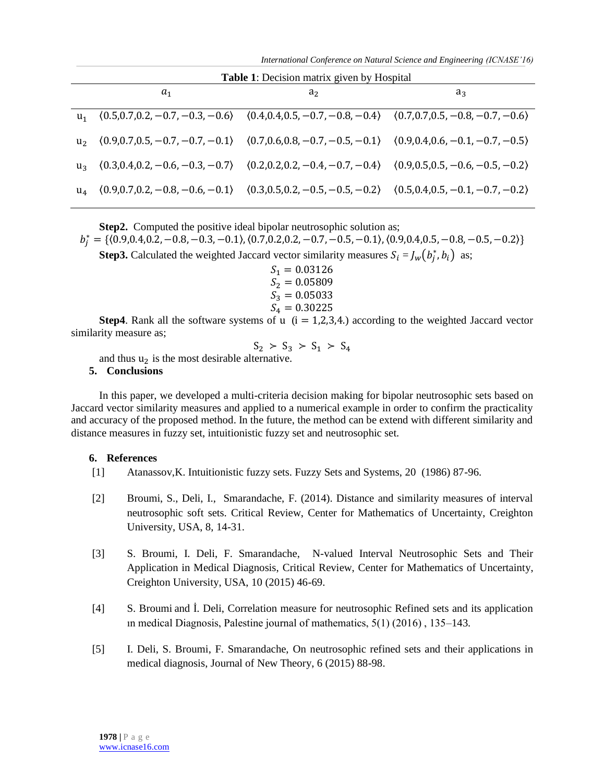*International Conference on Natural Science and Engineering (ICNASE'16)*

| Table 1: Decision matrix given by Hospital |       |                                                                                                             |       |  |  |
|--------------------------------------------|-------|-------------------------------------------------------------------------------------------------------------|-------|--|--|
|                                            | $a_1$ | a <sub>2</sub>                                                                                              | $a_3$ |  |  |
| $u_1$                                      |       | $(0.5, 0.7, 0.2, -0.7, -0.3, -0.6)$ $(0.4, 0.4, 0.5, -0.7, -0.8, -0.4)$ $(0.7, 0.7, 0.5, -0.8, -0.7, -0.6)$ |       |  |  |
| u <sub>2</sub>                             |       | $(0.9,0.7,0.5,-0.7,-0.7,-0.1)$ $(0.7,0.6,0.8,-0.7,-0.5,-0.1)$ $(0.9,0.4,0.6,-0.1,-0.7,-0.5)$                |       |  |  |
| u <sub>2</sub>                             |       | $(0.3, 0.4, 0.2, -0.6, -0.3, -0.7)$ $(0.2, 0.2, 0.2, -0.4, -0.7, -0.4)$ $(0.9, 0.5, 0.5, -0.6, -0.5, -0.2)$ |       |  |  |
| $u_{4}$                                    |       | $(0.9, 0.7, 0.2, -0.8, -0.6, -0.1)$ $(0.3, 0.5, 0.2, -0.5, -0.5, -0.2)$ $(0.5, 0.4, 0.5, -0.1, -0.7, -0.2)$ |       |  |  |

**Step2.** Computed the positive ideal bipolar neutrosophic solution as;

 $b_j^* = {\{ (0.9, 0.4, 0.2, -0.8, -0.3, -0.1), (0.7, 0.2, 0.2, -0.7, -0.5, -0.1), (0.9, 0.4, 0.5, -0.8, -0.5, -0.2) \}}$ 

**Step3.** Calculated the weighted Jaccard vector similarity measures  $S_i = J_w(b_j^*, b_i)$  as;

 $S_1 = 0.03126$  $S_2 = 0.05809$  $S_3 = 0.05033$  $S_4 = 0.30225$ 

**Step4**. Rank all the software systems of u  $(i = 1,2,3,4)$  according to the weighted Jaccard vector similarity measure as;

$$
S_2 \succ S_3 \succ S_1 \succ S_4
$$

and thus  $u_2$  is the most desirable alternative.

#### **5. Conclusions**

In this paper, we developed a multi-criteria decision making for bipolar neutrosophic sets based on Jaccard vector similarity measures and applied to a numerical example in order to confirm the practicality and accuracy of the proposed method. In the future, the method can be extend with different similarity and distance measures in fuzzy set, intuitionistic fuzzy set and neutrosophic set.

### **6. References**

- [1] Atanassov,K. Intuitionistic fuzzy sets. Fuzzy Sets and Systems, 20 (1986) 87-96.
- [2] Broumi, S., Deli, I., Smarandache, F. (2014). Distance and similarity measures of interval neutrosophic soft sets. Critical Review, Center for Mathematics of Uncertainty, Creighton University, USA, 8, 14-31.
- [3] S. Broumi, I. Deli, F. Smarandache, N-valued Interval Neutrosophic Sets and Their Application in Medical Diagnosis, Critical Review, Center for Mathematics of Uncertainty, Creighton University, USA, 10 (2015) 46-69.
- [4] S. Broumi and İ. Deli, Correlation measure for neutrosophic Refined sets and its application ın medical Diagnosis, Palestine journal of mathematics, 5(1) (2016) , 135–143.
- [5] I. Deli, S. Broumi, F. Smarandache, On neutrosophic refined sets and their applications in medical diagnosis, Journal of New Theory, 6 (2015) 88-98.